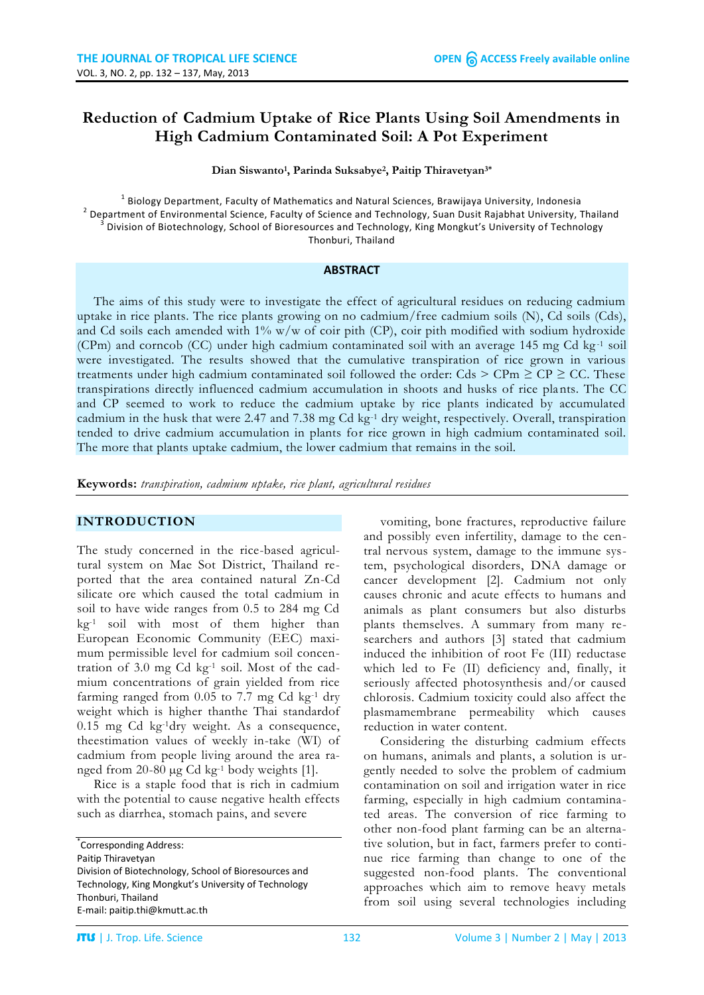# **Reduction of Cadmium Uptake of Rice Plants Using Soil Amendments in High Cadmium Contaminated Soil: A Pot Experiment**

**Dian Siswanto<sup>1</sup> , Parinda Suksabye<sup>2</sup> , Paitip Thiravetyan3\***

 $^{\rm 1}$  Biology Department, Faculty of Mathematics and Natural Sciences, Brawijaya University, Indonesia <sup>2</sup> Department of Environmental Science, Faculty of Science and Technology, Suan Dusit Rajabhat University, Thailand<br><sup>3</sup> Division of Biotechnology, School of Bioteceurses and Technology, King Mangkut's University of Techno Division of Biotechnology, School of Bioresources and Technology, King Mongkut's University of Technology Thonburi, Thailand

#### **ABSTRACT**

The aims of this study were to investigate the effect of agricultural residues on reducing cadmium uptake in rice plants. The rice plants growing on no cadmium/free cadmium soils (N), Cd soils (Cds), and Cd soils each amended with 1% w/w of coir pith (CP), coir pith modified with sodium hydroxide (CPm) and corncob (CC) under high cadmium contaminated soil with an average 145 mg Cd kg-1 soil were investigated. The results showed that the cumulative transpiration of rice grown in various treatments under high cadmium contaminated soil followed the order: Cds  $>$  CPm  $\geq$  CP  $\geq$  CC. These transpirations directly influenced cadmium accumulation in shoots and husks of rice plants. The CC and CP seemed to work to reduce the cadmium uptake by rice plants indicated by accumulated cadmium in the husk that were 2.47 and 7.38 mg Cd kg-1 dry weight, respectively. Overall, transpiration tended to drive cadmium accumulation in plants for rice grown in high cadmium contaminated soil. The more that plants uptake cadmium, the lower cadmium that remains in the soil.

**Keywords:** *transpiration, cadmium uptake, rice plant, agricultural residues*

#### **INTRODUCTION**

The study concerned in the rice-based agricultural system on Mae Sot District, Thailand reported that the area contained natural Zn-Cd silicate ore which caused the total cadmium in soil to have wide ranges from 0.5 to 284 mg Cd kg-1 soil with most of them higher than European Economic Community (EEC) maximum permissible level for cadmium soil concentration of 3.0 mg Cd kg-1 soil. Most of the cadmium concentrations of grain yielded from rice farming ranged from  $0.05$  to 7.7 mg Cd kg<sup>-1</sup> dry weight which is higher thanthe Thai standardof 0.15 mg Cd kg-1dry weight. As a consequence, theestimation values of weekly in-take (WI) of cadmium from people living around the area ranged from 20-80 µg Cd kg-1 body weights [1].

Rice is a staple food that is rich in cadmium with the potential to cause negative health effects such as diarrhea, stomach pains, and severe

\* Corresponding Address: Paitip Thiravetyan Division of Biotechnology, School of Bioresources and Technology, King Mongkut's University of Technology Thonburi, Thailand E-mail: paitip.thi@kmutt.ac.th

vomiting, bone fractures, reproductive failure and possibly even infertility, damage to the central nervous system, damage to the immune system, psychological disorders, DNA damage or cancer development [2]. Cadmium not only causes chronic and acute effects to humans and animals as plant consumers but also disturbs plants themselves. A summary from many researchers and authors [3] stated that cadmium induced the inhibition of root Fe (III) reductase which led to Fe (II) deficiency and, finally, it seriously affected photosynthesis and/or caused chlorosis. Cadmium toxicity could also affect the plasmamembrane permeability which causes reduction in water content.

Considering the disturbing cadmium effects on humans, animals and plants, a solution is urgently needed to solve the problem of cadmium contamination on soil and irrigation water in rice farming, especially in high cadmium contaminated areas. The conversion of rice farming to other non-food plant farming can be an alternative solution, but in fact, farmers prefer to continue rice farming than change to one of the suggested non-food plants. The conventional approaches which aim to remove heavy metals from soil using several technologies including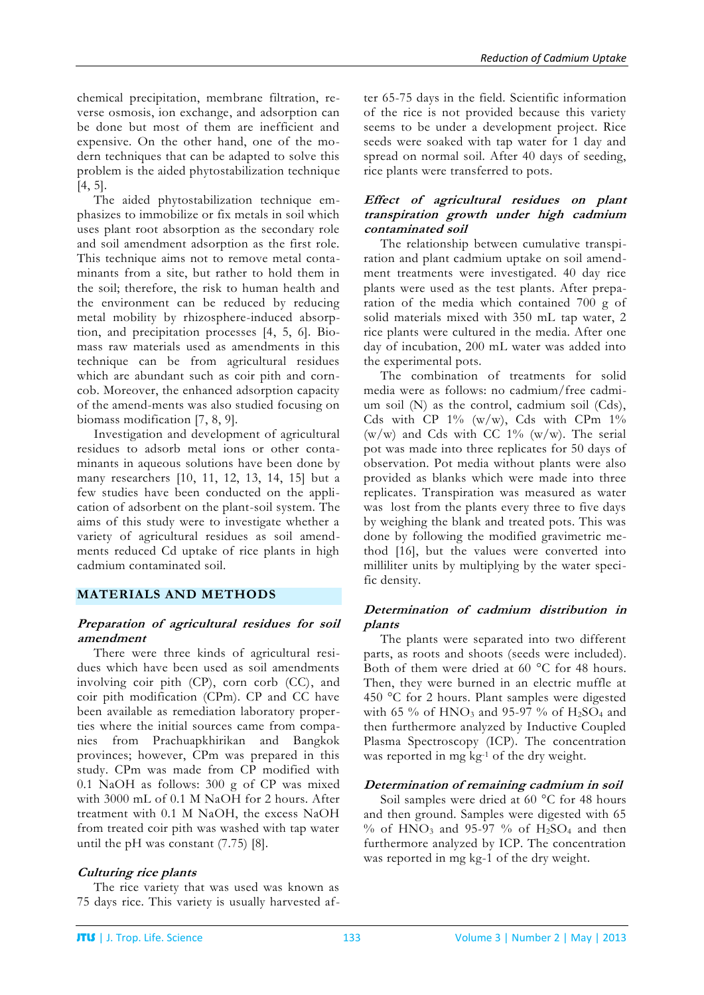chemical precipitation, membrane filtration, reverse osmosis, ion exchange, and adsorption can be done but most of them are inefficient and expensive. On the other hand, one of the modern techniques that can be adapted to solve this problem is the aided phytostabilization technique [4, 5].

The aided phytostabilization technique emphasizes to immobilize or fix metals in soil which uses plant root absorption as the secondary role and soil amendment adsorption as the first role. This technique aims not to remove metal contaminants from a site, but rather to hold them in the soil; therefore, the risk to human health and the environment can be reduced by reducing metal mobility by rhizosphere-induced absorption, and precipitation processes [4, 5, 6]. Biomass raw materials used as amendments in this technique can be from agricultural residues which are abundant such as coir pith and corncob. Moreover, the enhanced adsorption capacity of the amend-ments was also studied focusing on biomass modification [7, 8, 9].

Investigation and development of agricultural residues to adsorb metal ions or other contaminants in aqueous solutions have been done by many researchers [10, 11, 12, 13, 14, 15] but a few studies have been conducted on the application of adsorbent on the plant-soil system. The aims of this study were to investigate whether a variety of agricultural residues as soil amendments reduced Cd uptake of rice plants in high cadmium contaminated soil.

## **MATERIALS AND METHODS**

### **Preparation of agricultural residues for soil amendment**

There were three kinds of agricultural residues which have been used as soil amendments involving coir pith (CP), corn corb (CC), and coir pith modification (CPm). CP and CC have been available as remediation laboratory properties where the initial sources came from companies from Prachuapkhirikan and Bangkok provinces; however, CPm was prepared in this study. CPm was made from CP modified with 0.1 NaOH as follows: 300 g of CP was mixed with 3000 mL of 0.1 M NaOH for 2 hours. After treatment with 0.1 M NaOH, the excess NaOH from treated coir pith was washed with tap water until the pH was constant (7.75) [8].

## **Culturing rice plants**

The rice variety that was used was known as 75 days rice. This variety is usually harvested after 65-75 days in the field. Scientific information of the rice is not provided because this variety seems to be under a development project. Rice seeds were soaked with tap water for 1 day and spread on normal soil. After 40 days of seeding, rice plants were transferred to pots.

### **Effect of agricultural residues on plant transpiration growth under high cadmium contaminated soil**

The relationship between cumulative transpiration and plant cadmium uptake on soil amendment treatments were investigated. 40 day rice plants were used as the test plants. After preparation of the media which contained 700 g of solid materials mixed with 350 mL tap water, 2 rice plants were cultured in the media. After one day of incubation, 200 mL water was added into the experimental pots.

The combination of treatments for solid media were as follows: no cadmium/free cadmium soil (N) as the control, cadmium soil (Cds), Cds with CP  $1\%$  (w/w), Cds with CPm  $1\%$ (w/w) and Cds with CC  $1\%$  (w/w). The serial pot was made into three replicates for 50 days of observation. Pot media without plants were also provided as blanks which were made into three replicates. Transpiration was measured as water was lost from the plants every three to five days by weighing the blank and treated pots. This was done by following the modified gravimetric method [16], but the values were converted into milliliter units by multiplying by the water specific density.

## **Determination of cadmium distribution in plants**

The plants were separated into two different parts, as roots and shoots (seeds were included). Both of them were dried at 60 °C for 48 hours. Then, they were burned in an electric muffle at 450 °C for 2 hours. Plant samples were digested with 65 % of HNO<sub>3</sub> and 95-97 % of H<sub>2</sub>SO<sub>4</sub> and then furthermore analyzed by Inductive Coupled Plasma Spectroscopy (ICP). The concentration was reported in mg kg-1 of the dry weight.

## **Determination of remaining cadmium in soil**

Soil samples were dried at 60 °C for 48 hours and then ground. Samples were digested with 65 % of  $HNO<sub>3</sub>$  and 95-97 % of  $H<sub>2</sub>SO<sub>4</sub>$  and then furthermore analyzed by ICP. The concentration was reported in mg kg-1 of the dry weight.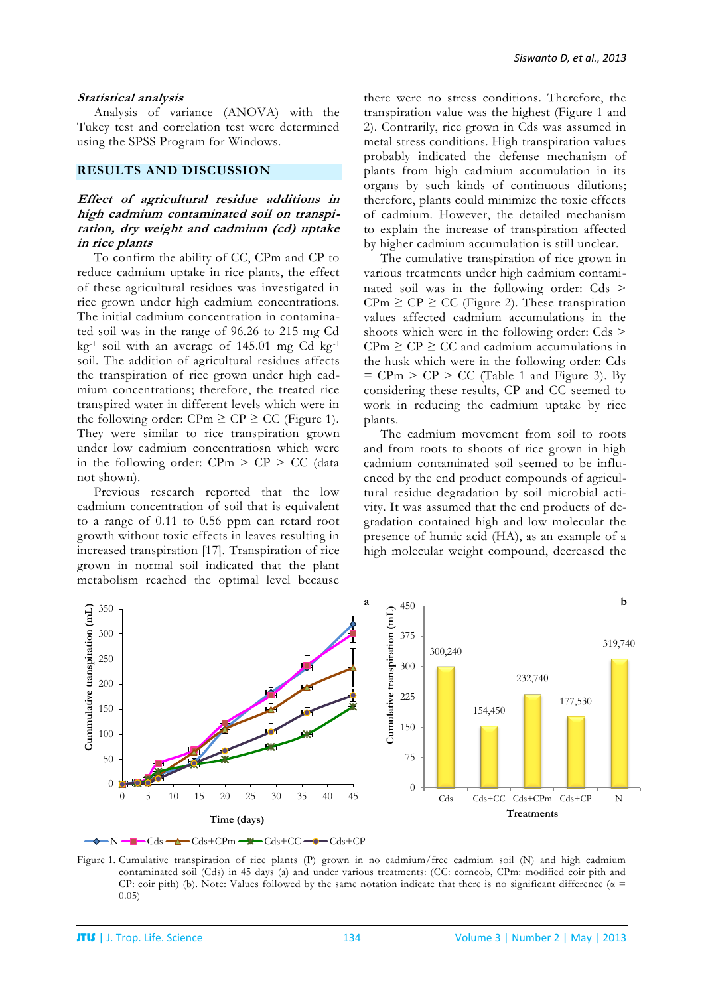#### **Statistical analysis**

Analysis of variance (ANOVA) with the Tukey test and correlation test were determined using the SPSS Program for Windows.

#### **RESULTS AND DISCUSSION**

## **Effect of agricultural residue additions in high cadmium contaminated soil on transpiration, dry weight and cadmium (cd) uptake in rice plants**

To confirm the ability of CC, CPm and CP to reduce cadmium uptake in rice plants, the effect of these agricultural residues was investigated in rice grown under high cadmium concentrations. The initial cadmium concentration in contaminated soil was in the range of 96.26 to 215 mg Cd  $kg<sup>-1</sup>$  soil with an average of 145.01 mg Cd kg $<sup>-1</sup>$ </sup> soil. The addition of agricultural residues affects the transpiration of rice grown under high cadmium concentrations; therefore, the treated rice transpired water in different levels which were in the following order: CPm  $\geq$  CP  $\geq$  CC (Figure 1). They were similar to rice transpiration grown under low cadmium concentratiosn which were in the following order:  $CPm > CP > CC$  (data not shown).

Previous research reported that the low cadmium concentration of soil that is equivalent to a range of 0.11 to 0.56 ppm can retard root growth without toxic effects in leaves resulting in increased transpiration [17]. Transpiration of rice grown in normal soil indicated that the plant metabolism reached the optimal level because

there were no stress conditions. Therefore, the transpiration value was the highest (Figure 1 and 2). Contrarily, rice grown in Cds was assumed in metal stress conditions. High transpiration values probably indicated the defense mechanism of plants from high cadmium accumulation in its organs by such kinds of continuous dilutions; therefore, plants could minimize the toxic effects of cadmium. However, the detailed mechanism to explain the increase of transpiration affected by higher cadmium accumulation is still unclear.

The cumulative transpiration of rice grown in various treatments under high cadmium contaminated soil was in the following order: Cds >  $CPm \geq CP \geq CC$  (Figure 2). These transpiration values affected cadmium accumulations in the shoots which were in the following order: Cds >  $CPm \geq CP \geq CC$  and cadmium accumulations in the husk which were in the following order: Cds  $=$  CPm  $>$  CP  $>$  CC (Table 1 and Figure 3). By considering these results, CP and CC seemed to work in reducing the cadmium uptake by rice plants.

The cadmium movement from soil to roots and from roots to shoots of rice grown in high cadmium contaminated soil seemed to be influenced by the end product compounds of agricultural residue degradation by soil microbial activity. It was assumed that the end products of degradation contained high and low molecular the presence of humic acid (HA), as an example of a high molecular weight compound, decreased the



Figure 1. Cumulative transpiration of rice plants (P) grown in no cadmium/free cadmium soil (N) and high cadmium contaminated soil (Cds) in 45 days (a) and under various treatments: (CC: corncob, CPm: modified coir pith and CP: coir pith) (b). Note: Values followed by the same notation indicate that there is no significant difference ( $\alpha$  = 0.05)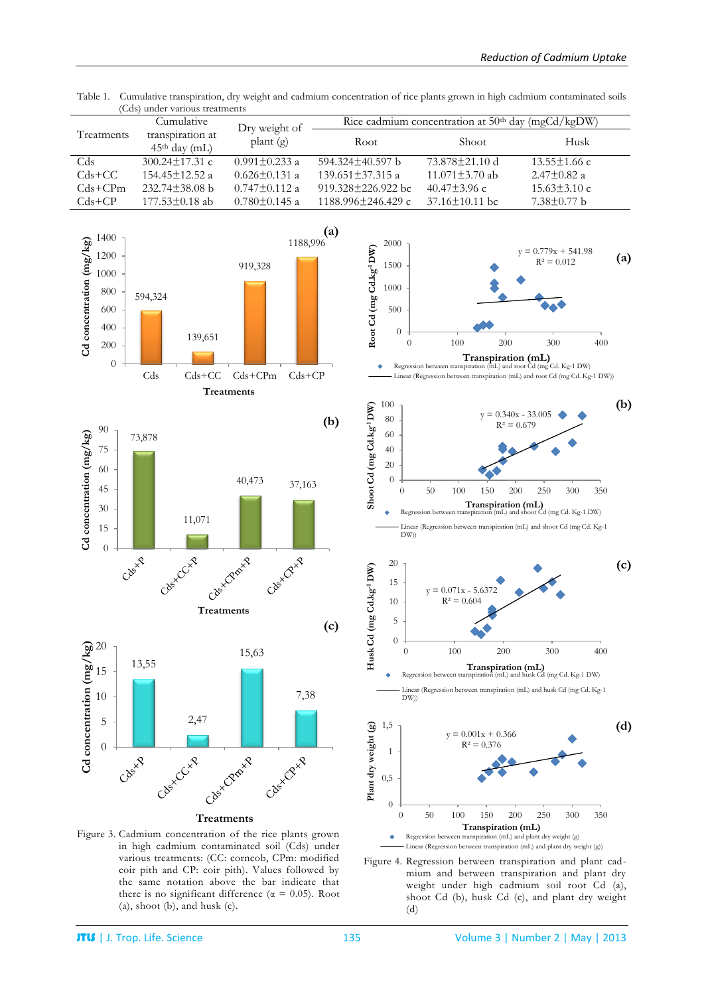| Treatments  | Cumulative                          | Dry weight of<br>plant $(g)$ | Rice cadmium concentration at $50th$ day (mgCd/kgDW) |                      |                    |  |
|-------------|-------------------------------------|------------------------------|------------------------------------------------------|----------------------|--------------------|--|
|             | transpiration at<br>$45th$ day (mL) |                              | Root                                                 | Shoot                | Husk               |  |
| Cds         | $300.24 \pm 17.31$ c                | $0.991 \pm 0.233$ a          | $594.324 \pm 40.597$ b                               | 73.878±21.10 d       | $13.55 \pm 1.66$ c |  |
| $Cds + CC$  | $154.45 \pm 12.52$ a                | $0.626 \pm 0.131$ a          | $139.651 \pm 37.315$ a                               | $11.071 \pm 3.70$ ab | $2.47 \pm 0.82$ a  |  |
| $Cds + CPm$ | $232.74 \pm 38.08$ b                | $0.747 \pm 0.112$ a          | $919.328 \pm 226.922$ bc                             | $40.47 \pm 3.96$ c   | $15.63 \pm 3.10$ c |  |
| $Cds + CP$  | $177.53 \pm 0.18$ ab                | $0.780 \pm 0.145$ a          | $1188.996 \pm 246.429$ c                             | $37.16 \pm 10.11$ bc | $7.38 \pm 0.77$ b  |  |

Table 1. Cumulative transpiration, dry weight and cadmium concentration of rice plants grown in high cadmium contaminated soils (Cds) under various treatments









Figure 4. Regression between transpiration and plant cadmium and between transpiration and plant dry weight under high cadmium soil root Cd (a), shoot Cd (b), husk Cd (c), and plant dry weight (d)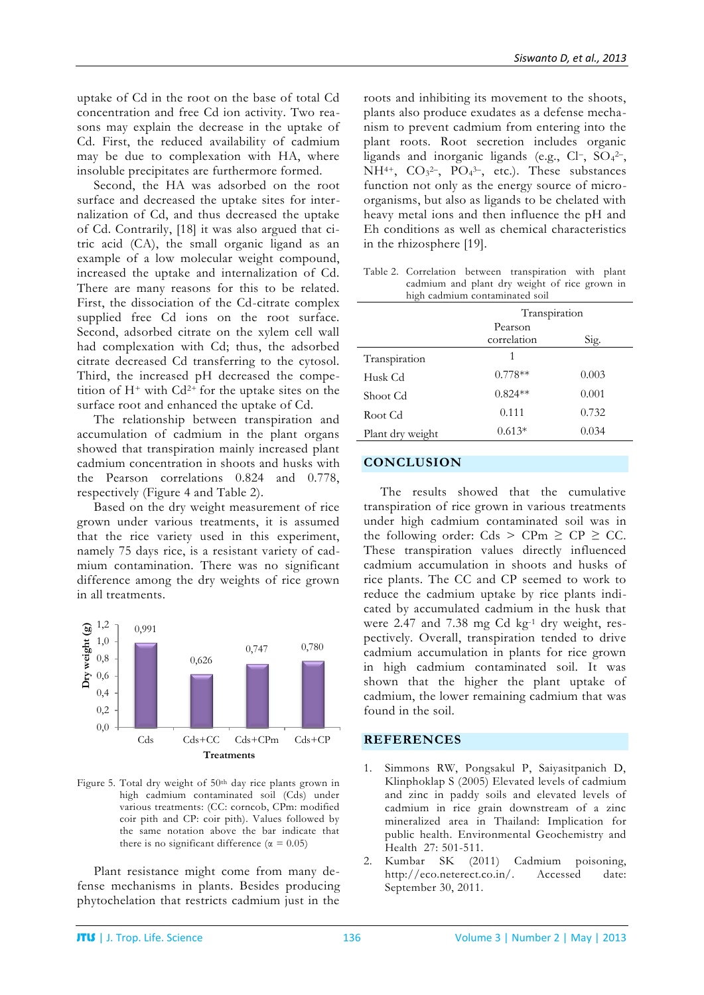uptake of Cd in the root on the base of total Cd concentration and free Cd ion activity. Two reasons may explain the decrease in the uptake of Cd. First, the reduced availability of cadmium may be due to complexation with HA, where insoluble precipitates are furthermore formed.

Second, the HA was adsorbed on the root surface and decreased the uptake sites for internalization of Cd, and thus decreased the uptake of Cd. Contrarily, [18] it was also argued that citric acid (CA), the small organic ligand as an example of a low molecular weight compound, increased the uptake and internalization of Cd. There are many reasons for this to be related. First, the dissociation of the Cd-citrate complex supplied free Cd ions on the root surface. Second, adsorbed citrate on the xylem cell wall had complexation with Cd; thus, the adsorbed citrate decreased Cd transferring to the cytosol. Third, the increased pH decreased the competition of  $H^+$  with  $Cd^{2+}$  for the uptake sites on the surface root and enhanced the uptake of Cd.

The relationship between transpiration and accumulation of cadmium in the plant organs showed that transpiration mainly increased plant cadmium concentration in shoots and husks with the Pearson correlations 0.824 and 0.778, respectively (Figure 4 and Table 2).

Based on the dry weight measurement of rice grown under various treatments, it is assumed that the rice variety used in this experiment, namely 75 days rice, is a resistant variety of cadmium contamination. There was no significant difference among the dry weights of rice grown in all treatments.



Figure 5. Total dry weight of 50<sup>th</sup> day rice plants grown in high cadmium contaminated soil (Cds) under various treatments: (CC: corncob, CPm: modified coir pith and CP: coir pith). Values followed by the same notation above the bar indicate that there is no significant difference ( $\alpha = 0.05$ )

Plant resistance might come from many defense mechanisms in plants. Besides producing phytochelation that restricts cadmium just in the roots and inhibiting its movement to the shoots, plants also produce exudates as a defense mechanism to prevent cadmium from entering into the plant roots. Root secretion includes organic ligands and inorganic ligands (e.g., Cl-, SO<sub>4</sub>2-, NH<sup>4+</sup>,  $CO<sub>3</sub><sup>2</sup>$ -, PO<sub>4</sub><sup>3-</sup>, etc.). These substances function not only as the energy source of microorganisms, but also as ligands to be chelated with heavy metal ions and then influence the pH and Eh conditions as well as chemical characteristics in the rhizosphere [19].

|                                               |  | Table 2. Correlation between transpiration with plant |  |  |
|-----------------------------------------------|--|-------------------------------------------------------|--|--|
| cadmium and plant dry weight of rice grown in |  |                                                       |  |  |
| high cadmium contaminated soil                |  |                                                       |  |  |

|                  | Transpiration          |       |  |
|------------------|------------------------|-------|--|
|                  | Pearson<br>correlation | Sig.  |  |
| Transpiration    | 1                      |       |  |
| Husk Cd          | $0.778**$              | 0.003 |  |
| Shoot Cd         | $0.824**$              | 0.001 |  |
| Root Cd          | 0.111                  | 0.732 |  |
| Plant dry weight | $0.613*$               | 0.034 |  |

## **CONCLUSION**

The results showed that the cumulative transpiration of rice grown in various treatments under high cadmium contaminated soil was in the following order: Cds > CPm  $\ge$  CP  $\ge$  CC. These transpiration values directly influenced cadmium accumulation in shoots and husks of rice plants. The CC and CP seemed to work to reduce the cadmium uptake by rice plants indicated by accumulated cadmium in the husk that were 2.47 and 7.38 mg Cd kg-1 dry weight, respectively. Overall, transpiration tended to drive cadmium accumulation in plants for rice grown in high cadmium contaminated soil. It was shown that the higher the plant uptake of cadmium, the lower remaining cadmium that was found in the soil.

#### **REFERENCES**

- 1. Simmons RW, Pongsakul P, Saiyasitpanich D, Klinphoklap S (2005) Elevated levels of cadmium and zinc in paddy soils and elevated levels of cadmium in rice grain downstream of a zinc mineralized area in Thailand: Implication for public health. Environmental Geochemistry and Health 27: 501-511.
- 2. Kumbar SK (2011) Cadmium poisoning, http://eco.neterect.co.in/. Accessed date: September 30, 2011.